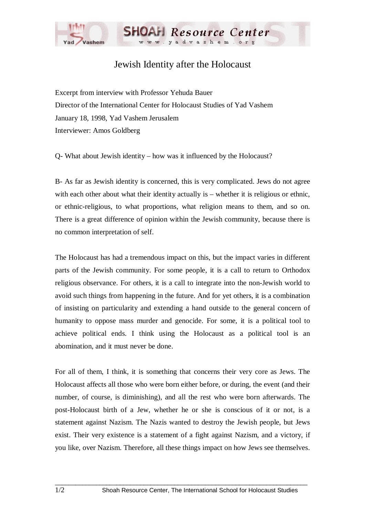

## Jewish Identity after the Holocaust

Excerpt from interview with Professor Yehuda Bauer Director of the International Center for Holocaust Studies of Yad Vashem January 18, 1998, Yad Vashem Jerusalem Interviewer: Amos Goldberg

Q- What about Jewish identity – how was it influenced by the Holocaust?

B- As far as Jewish identity is concerned, this is very complicated. Jews do not agree with each other about what their identity actually is – whether it is religious or ethnic, or ethnic-religious, to what proportions, what religion means to them, and so on. There is a great difference of opinion within the Jewish community, because there is no common interpretation of self.

The Holocaust has had a tremendous impact on this, but the impact varies in different parts of the Jewish community. For some people, it is a call to return to Orthodox religious observance. For others, it is a call to integrate into the non-Jewish world to avoid such things from happening in the future. And for yet others, it is a combination of insisting on particularity and extending a hand outside to the general concern of humanity to oppose mass murder and genocide. For some, it is a political tool to achieve political ends. I think using the Holocaust as a political tool is an abomination, and it must never be done.

For all of them, I think, it is something that concerns their very core as Jews. The Holocaust affects all those who were born either before, or during, the event (and their number, of course, is diminishing), and all the rest who were born afterwards. The post-Holocaust birth of a Jew, whether he or she is conscious of it or not, is a statement against Nazism. The Nazis wanted to destroy the Jewish people, but Jews exist. Their very existence is a statement of a fight against Nazism, and a victory, if you like, over Nazism. Therefore, all these things impact on how Jews see themselves.

 $\Box$  . The contribution of the contribution of the contribution of the contribution of the contribution of the contribution of the contribution of the contribution of the contribution of the contribution of the contributi